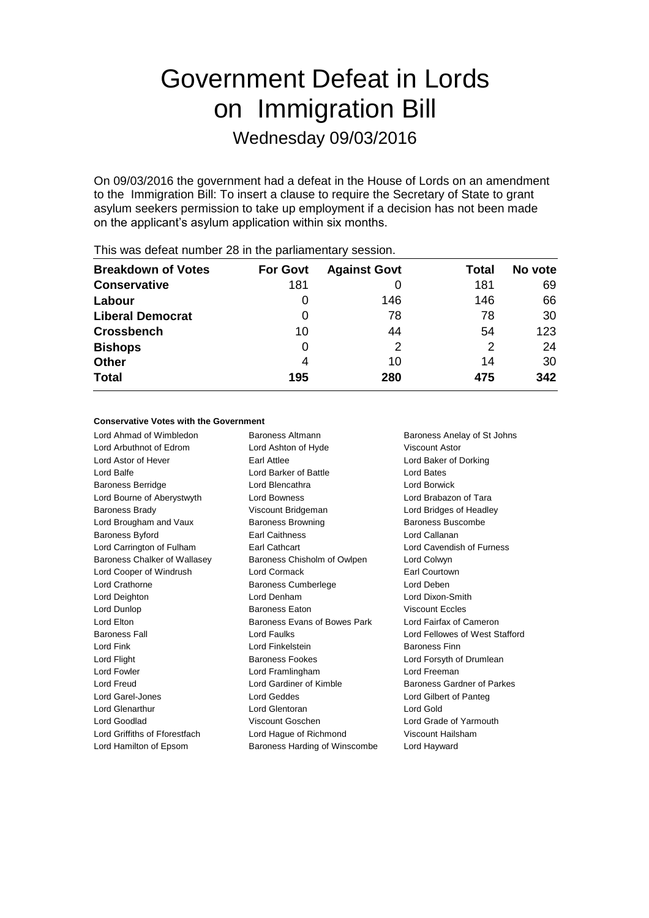# Government Defeat in Lords on Immigration Bill

Wednesday 09/03/2016

On 09/03/2016 the government had a defeat in the House of Lords on an amendment to the Immigration Bill: To insert a clause to require the Secretary of State to grant asylum seekers permission to take up employment if a decision has not been made on the applicant's asylum application within six months.

| <b>Breakdown of Votes</b> | <b>For Govt</b> | <b>Against Govt</b> | Total | No vote |  |  |  |
|---------------------------|-----------------|---------------------|-------|---------|--|--|--|
| <b>Conservative</b>       | 181             |                     | 181   | 69      |  |  |  |
| Labour                    | O               | 146                 | 146   | 66      |  |  |  |
| <b>Liberal Democrat</b>   | 0               | 78                  | 78    | 30      |  |  |  |
| <b>Crossbench</b>         | 10              | 44                  | 54    | 123     |  |  |  |
| <b>Bishops</b>            | O               | 2                   | 2     | 24      |  |  |  |
| <b>Other</b>              | 4               | 10                  | 14    | 30      |  |  |  |
| <b>Total</b>              | 195             | 280                 | 475   | 342     |  |  |  |

This was defeat number 28 in the parliamentary session.

### **Conservative Votes with the Government**

Lord Ahmad of Wimbledon Baroness Altmann Baroness Anelay of St Johns Lord Arbuthnot of Edrom Lord Ashton of Hyde Viscount Astor Lord Astor of Hever **Earl Attlee** Earl Attlee Lord Baker of Dorking Lord Balfe Lord Barker of Battle Lord Bates Baroness Berridge Lord Blencathra Lord Borwick Lord Bourne of Aberystwyth Lord Bowness Lord Brabazon of Tara Baroness Brady Viscount Bridgeman Lord Bridges of Headley Lord Brougham and Vaux **Baroness Browning** Baroness Buscombe Baroness Byford Earl Caithness Lord Callanan Lord Carrington of Fulham Earl Cathcart Lord Cavendish of Furness Baroness Chalker of Wallasey Baroness Chisholm of Owlpen Lord Colwyn Lord Cooper of Windrush Lord Cormack Earl Courtown Lord Crathorne Baroness Cumberlege Lord Deben Lord Deighton Lord Denham Lord Dixon-Smith Lord Dunlop Baroness Eaton Viscount Eccles Lord Elton **Baroness Evans of Bowes Park** Lord Fairfax of Cameron Baroness Fall Lord Faulks Lord Fellowes of West Stafford Lord Fink Lord Finkelstein Baroness Finn Lord Flight **Baroness Fookes** Lord Forsyth of Drumlean Lord Fowler Lord Framlingham Lord Freeman Lord Freud **Lord Gardiner of Kimble** Baroness Gardner of Parkes Lord Garel-Jones Lord Geddes Lord Gilbert of Panteg Lord Glenarthur Lord Glentoran Lord Gold Lord Goodlad Viscount Goschen Lord Grade of Yarmouth Lord Griffiths of Fforestfach Lord Hague of Richmond Viscount Hailsham

Lord Hamilton of Epsom Baroness Harding of Winscombe Lord Hayward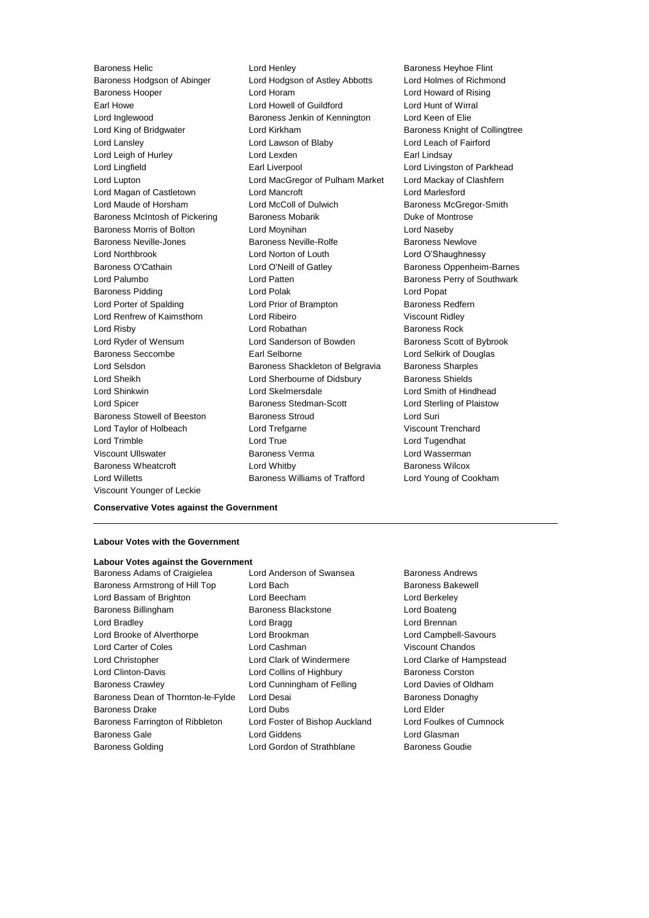Viscount Younger of Leckie

Baroness Helic **Baroness Helic** Lord Henley **Baroness Heyhoe Flint** Baroness Hodgson of Abinger Lord Hodgson of Astley Abbotts Lord Holmes of Richmond Baroness Hooper Lord Horam Lord Howard of Rising Earl Howe Lord Howell of Guildford Lord Hunt of Wirral Lord Inglewood **Baroness Jenkin of Kennington** Lord Keen of Elie Lord King of Bridgwater **Lord Kirkham** Baroness Knight of Collingtree Lord Lansley Lord Lawson of Blaby Lord Leach of Fairford Lord Leigh of Hurley **Lord Lexden** Earl Lindsay Lord Lingfield **Earl Liverpool** Earl Liverpool **Lord Livingston of Parkhead** Lord Lupton Lord MacGregor of Pulham Market Lord Mackay of Clashfern Lord Magan of Castletown Lord Mancroft Lord Marlesford Lord Maude of Horsham Lord McColl of Dulwich Baroness McGregor-Smith Baroness McIntosh of Pickering Baroness Mobarik Baroness Montrose Baroness Morris of Bolton Lord Moynihan Lord Naseby Baroness Neville-Jones Baroness Neville-Rolfe Baroness Newlove Lord Northbrook Lord Norton of Louth Lord O'Shaughnessy Baroness O'Cathain **Lord O'Neill of Gatley** Baroness Oppenheim-Barnes Lord Palumbo **Lord Patten** Baroness Perry of Southwark Baroness Pidding **Lord Polak** Lord Polak Lord Popat Lord Porter of Spalding **Lord Prior of Brampton** Baroness Redfern Lord Renfrew of Kaimsthorn Lord Ribeiro Viscount Ridley Lord Risby **Lord Robathan** Baroness Rock **Lord Robathan** Baroness Rock Lord Ryder of Wensum **Lord Sanderson of Bowden** Baroness Scott of Bybrook Baroness Seccombe Earl Selborne Lord Selkirk of Douglas Lord Selsdon Baroness Shackleton of Belgravia Baroness Sharples Lord Sheikh Lord Sherbourne of Didsbury Baroness Shields Lord Shinkwin Lord Skelmersdale Lord Smith of Hindhead Lord Spicer **Baroness Stedman-Scott** Lord Sterling of Plaistow Baroness Stowell of Beeston Baroness Stroud **Baroness** Stroud Lord Suri Lord Taylor of Holbeach Lord Trefgarne Viscount Trenchard Lord Trimble Lord True Lord Tugendhat Viscount Ullswater **Baroness Verma** Lord Wasserman **Viscount Ullswater** Baroness Wheatcroft **Lord Whitby Baroness Wilcox Baroness Wilcox** Lord Willetts Baroness Williams of Trafford Lord Young of Cookham

### **Conservative Votes against the Government**

### **Labour Votes with the Government**

## **Labour Votes against the Government**

Baroness Armstrong of Hill Top Lord Bach Baroness Bakewell Lord Bassam of Brighton Lord Beecham Lord Berkeley Baroness Billingham Baroness Blackstone Lord Boateng Lord Bradley Lord Bragg Lord Brennan Lord Brooke of Alverthorpe Lord Brookman Lord Campbell-Savours Lord Carter of Coles Lord Cashman Viscount Chandos Lord Christopher Lord Clark of Windermere Lord Clarke of Hampstead Lord Clinton-Davis **Lord Collins of Highbury** Baroness Corston Baroness Crawley Lord Cunningham of Felling Lord Davies of Oldham Baroness Dean of Thornton-le-Fylde Lord Desai **Baroness Danaghy** Baroness Donaghy Baroness Drake Lord Dubs Lord Elder Baroness Farrington of Ribbleton Lord Foster of Bishop Auckland Lord Foulkes of Cumnock Baroness Gale Lord Giddens Lord Glasman Baroness Golding Lord Gordon of Strathblane Baroness Goudie

Baroness Adams of Craigielea Lord Anderson of Swansea Baroness Andrews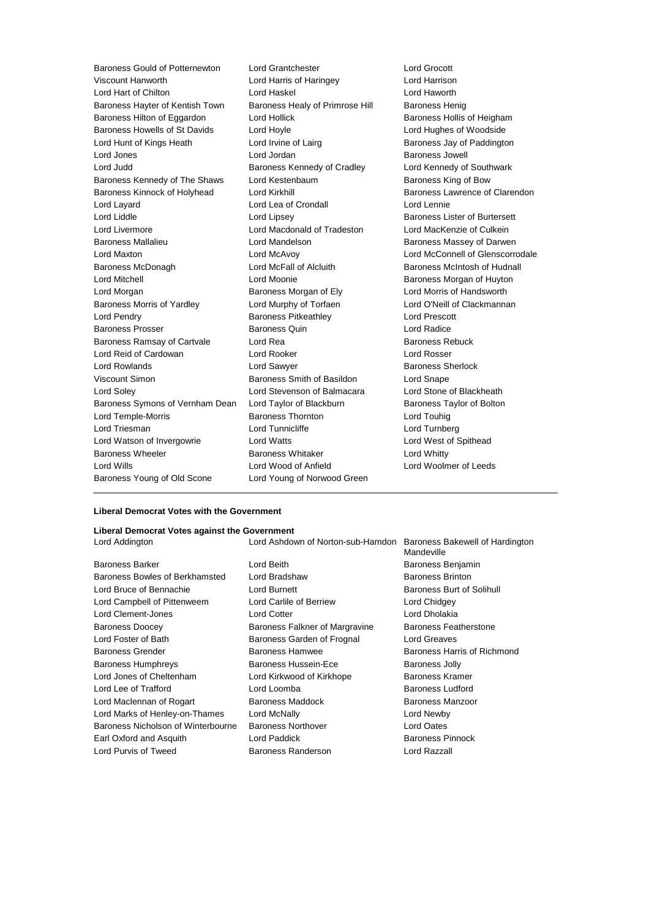Baroness Gould of Potternewton Lord Grantchester Lord Grocott Lord Hart of Chilton Lord Haskel Lord Haworth Baroness Hayter of Kentish Town Baroness Healy of Primrose Hill Baroness Henig Baroness Hilton of Eggardon Lord Hollick **Baroness Hollis of Heigham** Baroness Howells of St Davids Lord Hoyle Lord Hughes of Woodside Lord Hunt of Kings Heath Lord Irvine of Lairg Baroness Jay of Paddington Lord Jones Lord Jordan Baroness Jowell Lord Judd **Baroness Kennedy of Cradley** Lord Kennedy of Southwark Baroness Kennedy of The Shaws Lord Kestenbaum Baroness King of Bow Baroness Kinnock of Holyhead Lord Kirkhill Baroness Lawrence of Clarendon Lord Layard **Lord Lea of Crondall** Lord Lennie Lord Liddle Lord Lipsey Baroness Lister of Burtersett Lord Livermore Lord Macdonald of Tradeston Lord MacKenzie of Culkein Baroness Mallalieu **Lord Mandelson** Baroness Massey of Darwen Lord Maxton Lord McAvoy Lord McConnell of Glenscorrodale Baroness McDonagh **Lord McFall of Alcluith** Baroness McIntosh of Hudnall Lord Mitchell Lord Moonie Baroness Morgan of Huyton Lord Morgan **Baroness Morgan of Ely** Lord Morris of Handsworth **Baroness Morgan of Ely** Baroness Morris of Yardley **Lord Murphy of Torfaen** Lord O'Neill of Clackmannan Lord Pendry Baroness Pitkeathley Lord Prescott Baroness Prosser **Baroness Quin** Baroness Quin Lord Radice Baroness Ramsay of Cartvale **Lord Rea Lord Rea** Baroness Rebuck Lord Reid of Cardowan Lord Rooker Lord Rosser Lord Rowlands **Lord Sawyer Lord Sawyer** Baroness Sherlock Viscount Simon **Baroness Smith of Basildon** Lord Snape Lord Soley Lord Stevenson of Balmacara Lord Stone of Blackheath Baroness Symons of Vernham Dean Lord Taylor of Blackburn Baroness Taylor of Bolton Lord Temple-Morris Baroness Thornton Lord Touhig Lord Triesman Lord Tunnicliffe Lord Turnberg Lord Watson of Invergowrie Lord Watts Lord West of Spithead Baroness Wheeler **Baroness Whitaker** Lord Whitty Lord Wills Lord Wood of Anfield Lord Woolmer of Leeds Baroness Young of Old Scone Lord Young of Norwood Green

Lord Harris of Haringey

#### **Liberal Democrat Votes with the Government**

### **Liberal Democrat Votes against the Government**

| Lord Addington                     | Lord Ashdown of Norton-sub-Hamdon | Baroness Bakewell of Hardington<br>Mandeville |
|------------------------------------|-----------------------------------|-----------------------------------------------|
| Baroness Barker                    | Lord Beith                        | Baroness Benjamin                             |
| Baroness Bowles of Berkhamsted     | Lord Bradshaw                     | <b>Baroness Brinton</b>                       |
| Lord Bruce of Bennachie            | Lord Burnett                      | Baroness Burt of Solihull                     |
| Lord Campbell of Pittenweem        | Lord Carlile of Berriew           | Lord Chidgey                                  |
| Lord Clement-Jones                 | <b>Lord Cotter</b>                | Lord Dholakia                                 |
| <b>Baroness Doocey</b>             | Baroness Falkner of Margravine    | Baroness Featherstone                         |
| Lord Foster of Bath                | Baroness Garden of Frognal        | Lord Greaves                                  |
| <b>Baroness Grender</b>            | Baroness Hamwee                   | Baroness Harris of Richmond                   |
| <b>Baroness Humphreys</b>          | Baroness Hussein-Ece              | Baroness Jolly                                |
| Lord Jones of Cheltenham           | Lord Kirkwood of Kirkhope         | Baroness Kramer                               |
| Lord Lee of Trafford               | Lord Loomba                       | <b>Baroness Ludford</b>                       |
| Lord Maclennan of Rogart           | Baroness Maddock                  | Baroness Manzoor                              |
| Lord Marks of Henley-on-Thames     | Lord McNally                      | Lord Newby                                    |
| Baroness Nicholson of Winterbourne | <b>Baroness Northover</b>         | Lord Oates                                    |

Earl Oxford and Asquith **Lord Paddick Baroness Pinnock** Baroness Pinnock Lord Purvis of Tweed **Baroness Randerson** Baroness Randerson